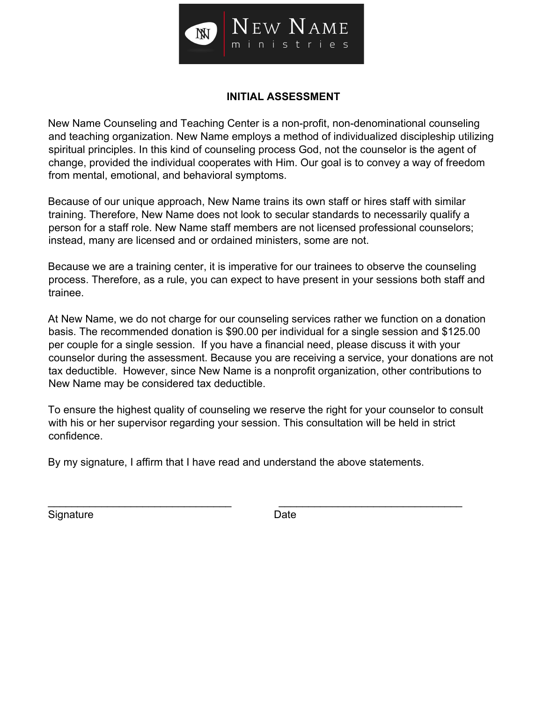

## **INITIAL ASSESSMENT**

New Name Counseling and Teaching Center is a non-profit, non-denominational counseling and teaching organization. New Name employs a method of individualized discipleship utilizing spiritual principles. In this kind of counseling process God, not the counselor is the agent of change, provided the individual cooperates with Him. Our goal is to convey a way of freedom from mental, emotional, and behavioral symptoms.

Because of our unique approach, New Name trains its own staff or hires staff with similar training. Therefore, New Name does not look to secular standards to necessarily qualify a person for a staff role. New Name staff members are not licensed professional counselors; instead, many are licensed and or ordained ministers, some are not.

Because we are a training center, it is imperative for our trainees to observe the counseling process. Therefore, as a rule, you can expect to have present in your sessions both staff and trainee.

At New Name, we do not charge for our counseling services rather we function on a donation basis. The recommended donation is \$90.00 per individual for a single session and \$125.00 per couple for a single session. If you have a financial need, please discuss it with your counselor during the assessment. Because you are receiving a service, your donations are not tax deductible. However, since New Name is a nonprofit organization, other contributions to New Name may be considered tax deductible.

To ensure the highest quality of counseling we reserve the right for your counselor to consult with his or her supervisor regarding your session. This consultation will be held in strict confidence.

\_\_\_\_\_\_\_\_\_\_\_\_\_\_\_\_\_\_\_\_\_\_\_\_\_\_\_\_\_\_\_ \_\_\_\_\_\_\_\_\_\_\_\_\_\_\_\_\_\_\_\_\_\_\_\_\_\_\_\_\_\_\_

By my signature, I affirm that I have read and understand the above statements.

Signature Date Date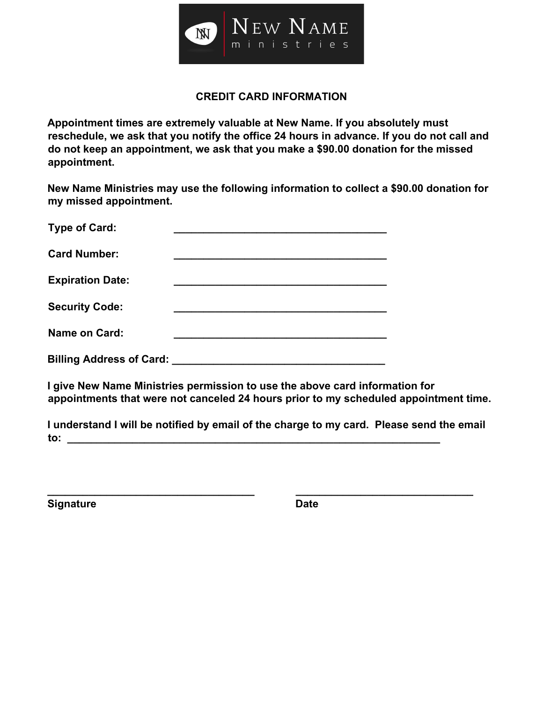

#### **CREDIT CARD INFORMATION**

**Appointment times are extremely valuable at New Name. If you absolutely must reschedule, we ask that you notify the office 24 hours in advance. If you do not call and do not keep an appointment, we ask that you make a \$90.00 donation for the missed appointment.** 

**New Name Ministries may use the following information to collect a \$90.00 donation for my missed appointment.** 

| <b>Type of Card:</b>            |  |
|---------------------------------|--|
| <b>Card Number:</b>             |  |
| <b>Expiration Date:</b>         |  |
| <b>Security Code:</b>           |  |
| <b>Name on Card:</b>            |  |
| <b>Billing Address of Card:</b> |  |

**I give New Name Ministries permission to use the above card information for appointments that were not canceled 24 hours prior to my scheduled appointment time.** 

**I understand I will be notified by email of the charge to my card. Please send the email to: \_\_\_\_\_\_\_\_\_\_\_\_\_\_\_\_\_\_\_\_\_\_\_\_\_\_\_\_\_\_\_\_\_\_\_\_\_\_\_\_\_\_\_\_\_\_\_\_\_\_\_\_\_\_\_\_\_\_\_\_\_\_\_** 

**\_\_\_\_\_\_\_\_\_\_\_\_\_\_\_\_\_\_\_\_\_\_\_\_\_\_\_\_\_\_\_\_\_\_\_ \_\_\_\_\_\_\_\_\_\_\_\_\_\_\_\_\_\_\_\_\_\_\_\_\_\_\_\_\_\_** 

**Signature Date Date**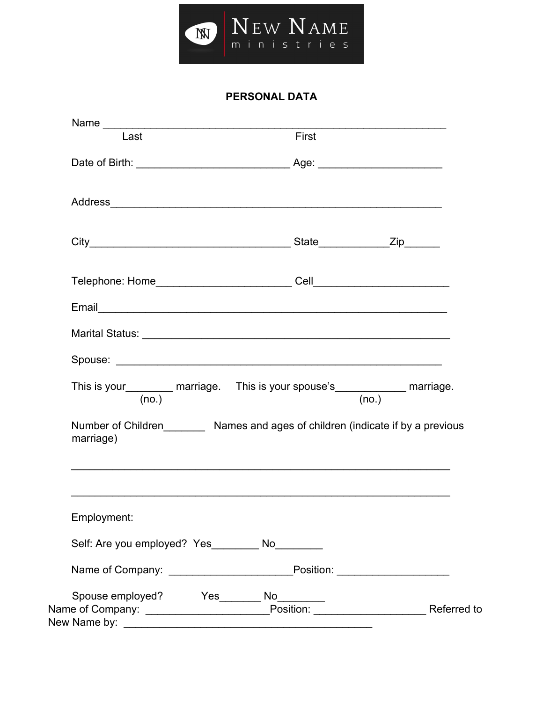

# **PERSONAL DATA**

| Last                                               | First                                                                                                                                                                                                                                |
|----------------------------------------------------|--------------------------------------------------------------------------------------------------------------------------------------------------------------------------------------------------------------------------------------|
|                                                    |                                                                                                                                                                                                                                      |
|                                                    |                                                                                                                                                                                                                                      |
|                                                    |                                                                                                                                                                                                                                      |
|                                                    |                                                                                                                                                                                                                                      |
|                                                    |                                                                                                                                                                                                                                      |
|                                                    | Marital Status: <b>William Status: William Status Communist Communist Communist Communist Communist Communist Communist Communist Communist Communist Communist Communist Communist Communist Communist Communist Communist Comm</b> |
|                                                    |                                                                                                                                                                                                                                      |
| (no.)                                              | This is your__________ marriage. This is your spouse's____________ marriage.<br>(no.)                                                                                                                                                |
| marriage)                                          | Number of Children___________ Names and ages of children (indicate if by a previous                                                                                                                                                  |
|                                                    |                                                                                                                                                                                                                                      |
|                                                    |                                                                                                                                                                                                                                      |
| Employment:                                        |                                                                                                                                                                                                                                      |
|                                                    |                                                                                                                                                                                                                                      |
| Self: Are you employed? Yes __________ No_________ | Name of Company: ______________________________Position: _______________________                                                                                                                                                     |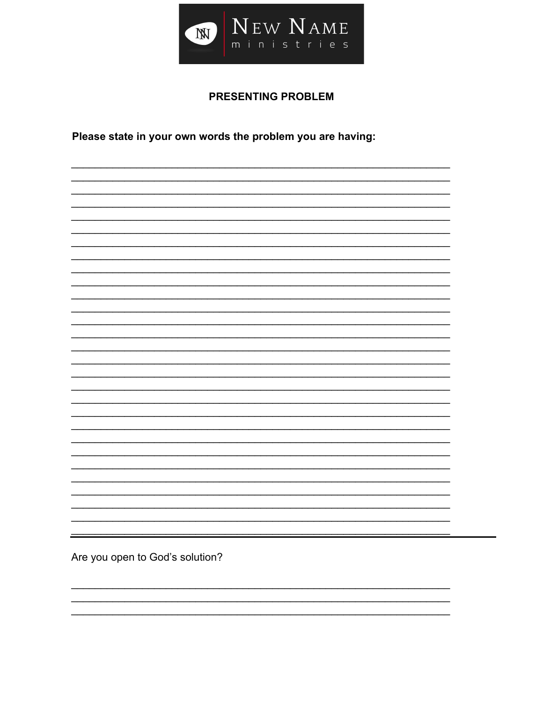

## **PRESENTING PROBLEM**

Please state in your own words the problem you are having:

Are you open to God's solution?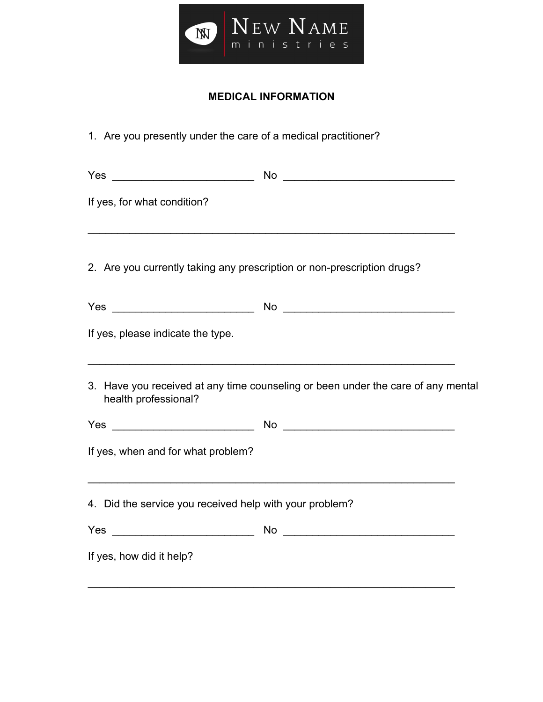

# **MEDICAL INFORMATION**

| 1. Are you presently under the care of a medical practitioner?          |                                                                                  |  |
|-------------------------------------------------------------------------|----------------------------------------------------------------------------------|--|
|                                                                         |                                                                                  |  |
| If yes, for what condition?                                             |                                                                                  |  |
| 2. Are you currently taking any prescription or non-prescription drugs? |                                                                                  |  |
|                                                                         |                                                                                  |  |
| If yes, please indicate the type.                                       |                                                                                  |  |
| health professional?                                                    | 3. Have you received at any time counseling or been under the care of any mental |  |
|                                                                         |                                                                                  |  |
| If yes, when and for what problem?                                      |                                                                                  |  |
| 4. Did the service you received help with your problem?                 |                                                                                  |  |
|                                                                         |                                                                                  |  |
| If yes, how did it help?                                                |                                                                                  |  |